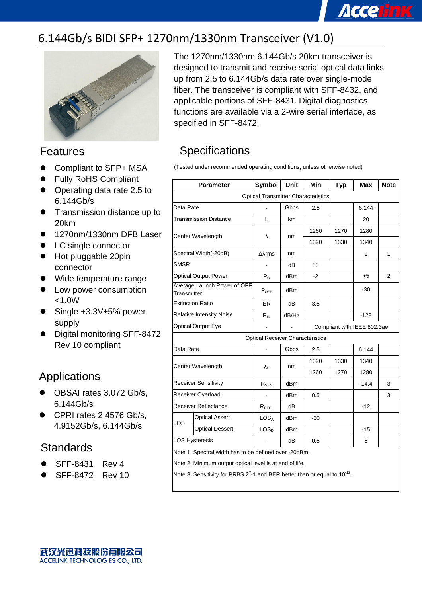## **Accelink**

### 6.144Gb/s BIDI SFP+ 1270nm/1330nm Transceiver (V1.0)



#### Features

- Compliant to SFP+ MSA
- Fully RoHS Compliant
- Operating data rate 2.5 to 6.144Gb/s
- **Transmission distance up to** 20km
- 1270nm/1330nm DFB Laser
- LC single connector
- Hot pluggable 20pin connector
- Wide temperature range
- **•** Low power consumption <1.0W
- Single +3.3V±5% power supply
- Digital monitoring SFF-8472 Rev 10 compliant

### Applications

- OBSAI rates 3.072 Gb/s, 6.144Gb/s
- CPRI rates 2.4576 Gb/s, 4.9152Gb/s, 6.144Gb/s

### **Standards**

- SFF-8431 Rev 4
- SFF-8472 Rev 10

The 1270nm/1330nm 6.144Gb/s 20km transceiver is designed to transmit and receive serial optical data links up from 2.5 to 6.144Gb/s data rate over single-mode fiber. The transceiver is compliant with SFF-8432, and applicable portions of SFF-8431. Digital diagnostics functions are available via a 2-wire serial interface, as specified in SFF-8472.

### **Specifications**

(Tested under recommended operating conditions, unless otherwise noted)

| <b>Parameter</b>                                        |                              | Symbol                                  | Unit  | Min  | <b>Typ</b>                  | <b>Max</b> | <b>Note</b>    |  |  |
|---------------------------------------------------------|------------------------------|-----------------------------------------|-------|------|-----------------------------|------------|----------------|--|--|
| <b>Optical Transmitter Characteristics</b>              |                              |                                         |       |      |                             |            |                |  |  |
| Data Rate                                               |                              |                                         | Gbps  | 2.5  |                             | 6.144      |                |  |  |
|                                                         | <b>Transmission Distance</b> | L                                       | km    |      |                             | 20         |                |  |  |
| Center Wavelength                                       |                              | λ                                       | nm    | 1260 | 1270                        | 1280       |                |  |  |
|                                                         |                              |                                         |       | 1320 | 1330                        | 1340       |                |  |  |
|                                                         | Spectral Width(-20dB)        | $\Delta\lambda$ rms                     | nm    |      |                             | 1          | $\mathbf{1}$   |  |  |
| <b>SMSR</b>                                             |                              | $\frac{1}{2}$                           | dВ    | 30   |                             |            |                |  |  |
|                                                         | <b>Optical Output Power</b>  | $P_{O}$                                 | dBm   | $-2$ |                             | $+5$       | $\overline{2}$ |  |  |
| Transmitter                                             | Average Launch Power of OFF  | $P_{OFF}$                               | dBm   |      |                             | -30        |                |  |  |
| <b>Extinction Ratio</b>                                 |                              | <b>ER</b>                               | dB    | 3.5  |                             |            |                |  |  |
| <b>Relative Intensity Noise</b>                         |                              | $R_{IN}$                                | dB/Hz |      |                             | $-128$     |                |  |  |
|                                                         | <b>Optical Output Eye</b>    |                                         |       |      | Compliant with IEEE 802.3ae |            |                |  |  |
|                                                         |                              | <b>Optical Receiver Characteristics</b> |       |      |                             |            |                |  |  |
| Data Rate                                               |                              |                                         | Gbps  | 2.5  |                             | 6.144      |                |  |  |
| Center Wavelength                                       |                              | $\lambda_{\rm C}$                       | nm    | 1320 | 1330                        | 1340       |                |  |  |
|                                                         |                              |                                         |       | 1260 | 1270                        | 1280       |                |  |  |
|                                                         | <b>Receiver Sensitivity</b>  | R <sub>SEN</sub>                        | dBm   |      |                             | $-14.4$    | 3              |  |  |
|                                                         | <b>Receiver Overload</b>     |                                         | dBm   | 0.5  |                             |            | 3              |  |  |
| Receiver Reflectance                                    |                              | $R_{REFL}$                              | dВ    |      |                             | $-12$      |                |  |  |
| <b>LOS</b>                                              | <b>Optical Assert</b>        | LOS^                                    | dBm   | -30  |                             |            |                |  |  |
|                                                         | <b>Optical Dessert</b>       | LOS <sub>D</sub>                        | dBm   |      |                             | $-15$      |                |  |  |
|                                                         | <b>LOS Hysteresis</b>        |                                         | dB    | 0.5  |                             | 6          |                |  |  |
| Note 1: Spectral width has to be defined over -20dBm.   |                              |                                         |       |      |                             |            |                |  |  |
| Note 2: Minimum output optical level is at end of life. |                              |                                         |       |      |                             |            |                |  |  |

Note 3: Sensitivity for PRBS  $2^7$ -1 and BER better than or equal to 10<sup>-12</sup>.